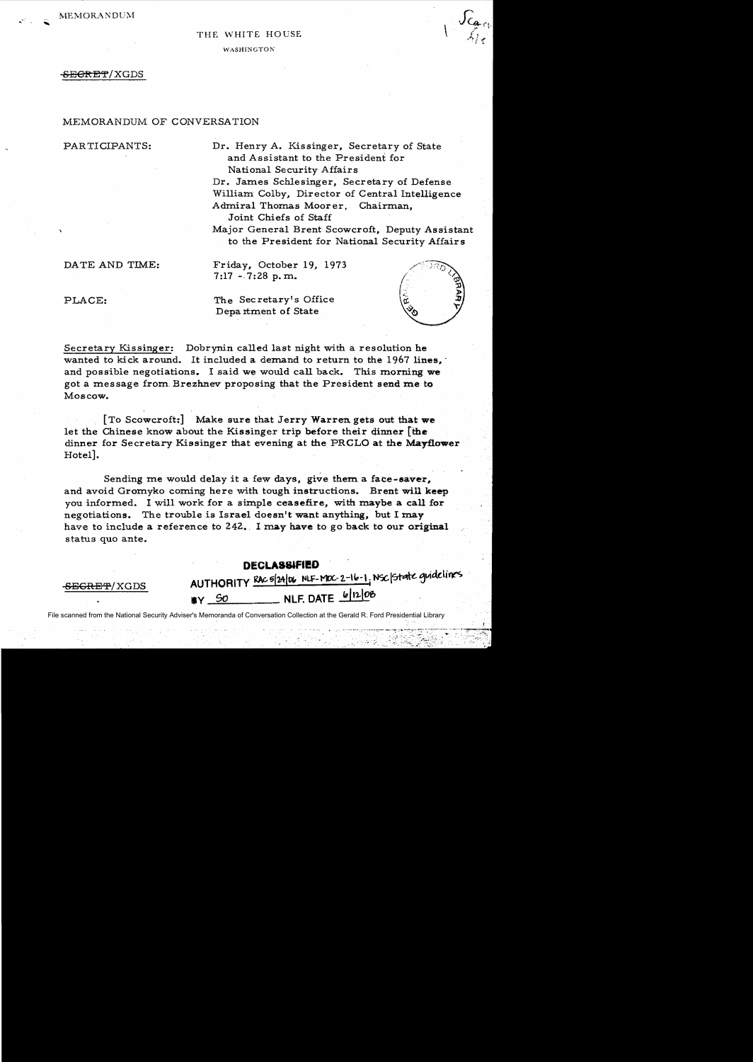MEMORANDUM

### THE WHITE HOUSE

WASHINGTON<sup>®</sup>

### <del>SECRET</del>/XGDS

### MEMORANDUM OF CONVERSATION

PARTICIPANTS: Dr. Henry A. Kissinger, Secretary of State and Assistant to the President for National Security Affairs Dr. James Schlesinger, Secretary of Defense

Willianr Colby, Director of Central Intelligence Admiral Thomas Moor er, Chairman,

Joint Chiefs of Staff

Major General Brent Scowcroft, Deputy Assistant to the President for National Security Affairs

DATE AND TIME: Friday, October 19, 1973  $7:17 - 7:28$  p.m.

PLACE: The Secretary's Office Department of State



[To Scowcroft:] Make sure that Jerry Warren gets out that we let the Chinese know about the Kissinger trip before their dinner [the dinner for Secretary Kissinger that evening at the PRGLO at the Mayflower Hotel].

Sending me would delay it a few days, give them a face-saver. and avoid Gromyko coming here with tough instructions. Brent will keep you informed. I will work for a simple ceasefire, with maybe a call for negotiations. The trouble is Israel doesn't want anything, but I may have to include a reference to 242. I may have to go back to our original status quo ante.

# **DECLASSIFIED**

SEGRET/XGDS AUTHORITY RAC5(24/06 NLF-MOC-2-16-1, NSC State guidelines.  $NLF. \text{DATE}$   $6 |12|06$ 

File scanned from the National Security Adviser's Memoranda of Conversation Collection at the Gerald R. Ford Presidential Library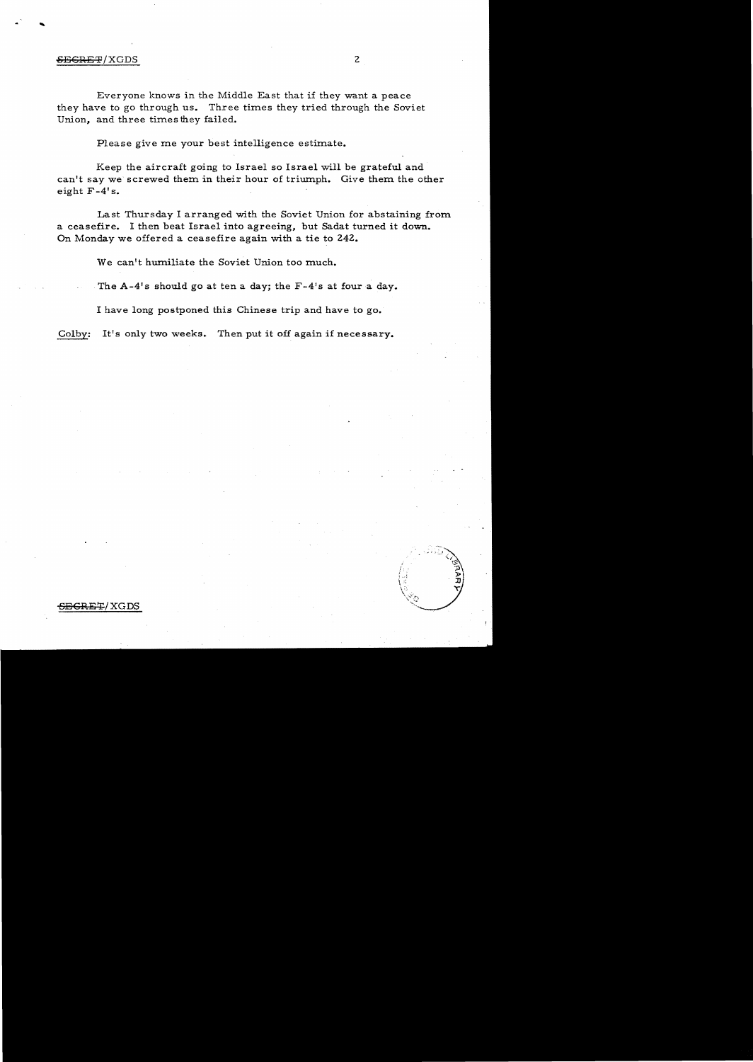## SEGRET/XGDS 2

...

Everyone knows in the Middle East that if they want a peace they have to go through us. Three times they tried through the Soviet Union, and three times they failed.

Please give me your best intelligence estimate.

Keep the aircraft going to Israel so Israel will be grateful and can't say we screwed them in their hour of triumph. Give them the other eight F -4' s.

Last Thursday I arranged with the Soviet Union for abstaining from a ceasefire. I then beat Israel into agreeing, but Sadat turned it down. On Monday we offered a ceasefire again with a tie to 242.

We can't humiliate the Soviet Union too much.

.The A-4's should go at ten a day; the F-4's at four a day.

I have long postponed this Chinese trip and have to go.

Colby: It's only two weeks. Then put it off again if necessary.